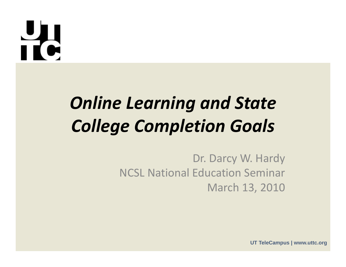### $\frac{1}{16}$

### *Online Learning and State College Completion Goals*

Dr. Darcy W. Hardy NCSL National Education Seminar March 13, 2010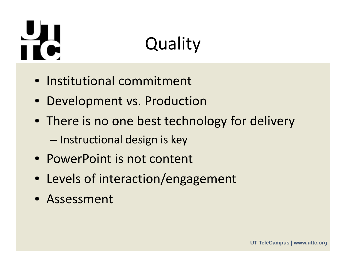## řć

### **Quality**

- Institutional commitment
- Development vs. Production
- There is no one best technology for delivery –– Instructional design is key
- PowerPoint is not content
- Levels of interaction/engagement
- Assessment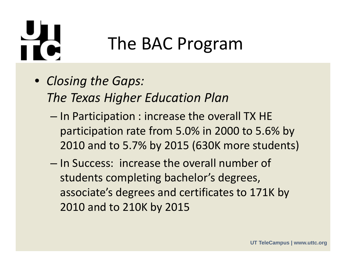# řt

- *Closing the Gaps: The Texas Higher Education Plan*
	- – $-$  In Participation : increase the overall TX HE participation rate from 5.0% in 2000 to 5.6% by 2010 and to 5.7% by 2015 (630K more students)
	- In Success: increase the overall number of students completing bachelor's degrees, associate's degrees and certificates to 171K by 2010 and to 210K by 2015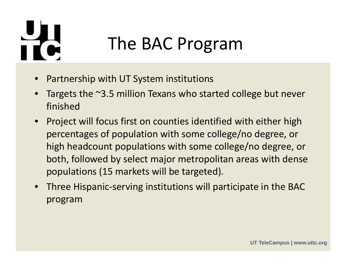# iť.

- •Partnership with UT System institutions
- • Targets the ~3.5 million Texans who started college but never finished
- • Project will focus first on counties identified with either high percentages of population with some college/no degree, or high headcount populations with some college/no degree, or both, followed by select major metropolitan areas with dense populations (15 markets will be targeted).
- $\bullet$ • Three Hispanic-serving institutions will participate in the BAC program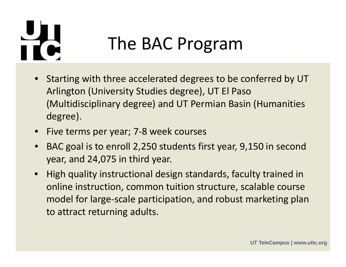# iť.

- • Starting with three accelerated degrees to be conferred by UT Arlington (University Studies degree), UT El Paso (Multidisciplinary degree) and UT Permian Basin (Humanities degree).
- Five terms per year; 7‐8 week courses
- • $\bullet$  BAC goal is to enroll 2,250 students first year, 9,150 in second year, and 24,075 in third year.
- $\bullet$  High quality instructional design standards, faculty trained in online instruction, common tuition structure, scalable course model for large‐scale participation, and robust marketing plan to attract returning adults.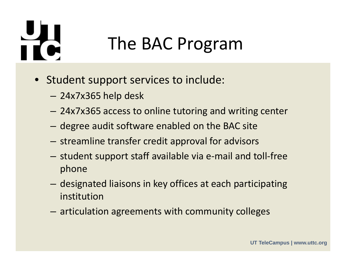## Td

- Student support services to include:
	- –24x7x365 help desk
	- –24x7x365 access to online tutoring and writing center
	- – $-$  degree audit software enabled on the BAC site
	- – $-$  streamline transfer credit approval for advisors
	- student support staff available via e-mail and toll-free phone
	- $-$  designated liaisons in key offices at each participating institution
	- – $-$  articulation agreements with community colleges